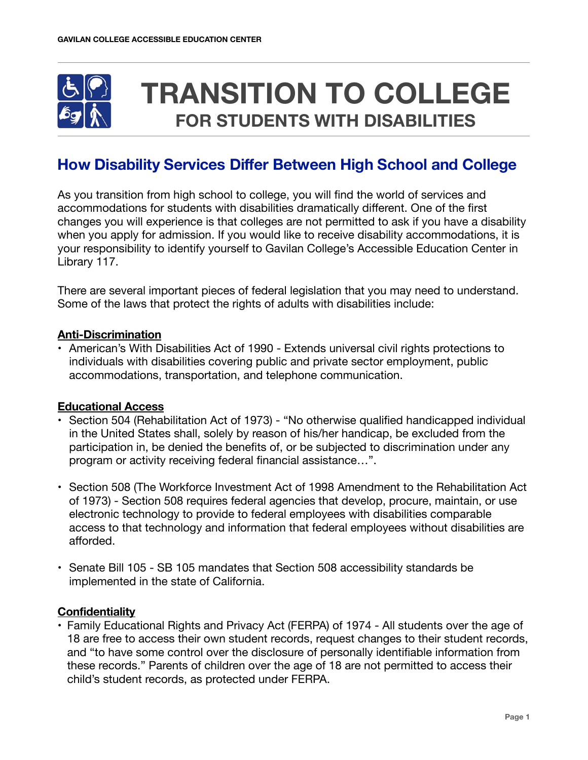

# **TRANSITION TO COLLEGE FOR STUDENTS WITH DISABILITIES**

## **How Disability Services Differ Between High School and College**

As you transition from high school to college, you will find the world of services and accommodations for students with disabilities dramatically different. One of the first changes you will experience is that colleges are not permitted to ask if you have a disability when you apply for admission. If you would like to receive disability accommodations, it is your responsibility to identify yourself to Gavilan College's Accessible Education Center in Library 117.

There are several important pieces of federal legislation that you may need to understand. Some of the laws that protect the rights of adults with disabilities include:

### **Anti-Discrimination**

• American's With Disabilities Act of 1990 - Extends universal civil rights protections to individuals with disabilities covering public and private sector employment, public accommodations, transportation, and telephone communication.

#### **Educational Access**

- Section 504 (Rehabilitation Act of 1973) "No otherwise qualified handicapped individual in the United States shall, solely by reason of his/her handicap, be excluded from the participation in, be denied the benefits of, or be subjected to discrimination under any program or activity receiving federal financial assistance…".
- Section 508 (The Workforce Investment Act of 1998 Amendment to the Rehabilitation Act of 1973) - Section 508 requires federal agencies that develop, procure, maintain, or use electronic technology to provide to federal employees with disabilities comparable access to that technology and information that federal employees without disabilities are afforded.
- Senate Bill 105 SB 105 mandates that Section 508 accessibility standards be implemented in the state of California.

#### **Confidentiality**

• Family Educational Rights and Privacy Act (FERPA) of 1974 - All students over the age of 18 are free to access their own student records, request changes to their student records, and "to have some control over the disclosure of personally identifiable information from these records." Parents of children over the age of 18 are not permitted to access their child's student records, as protected under FERPA.